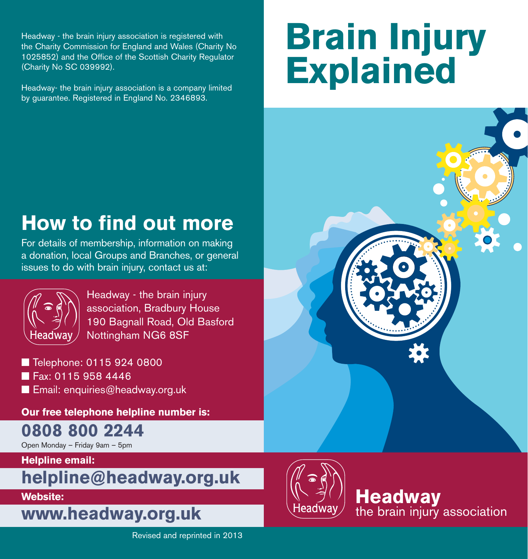Headway - the brain injury association is registered with the Charity Commission for England and Wales (Charity No 1025852) and the Office of the Scottish Charity Regulator (Charity No SC 039992).

Headway- the brain injury association is a company limited by guarantee. Registered in England No. 2346893.

## **Brain Injury Explained**



## **How to find out more**

For details of membership, information on making a donation, local Groups and Branches, or general issues to do with brain injury, contact us at:



Headway - the brain injury association, Bradbury House 190 Bagnall Road, Old Basford Nottingham NG6 8SF

■ Telephone: 0115 924 0800 ■ Fax: 0115 958 4446 ■ Email: enquiries@headway.org.uk

**Our free telephone helpline number is:** 

**0808 800 2244**

Open Monday – Friday 9am – 5pm

**Helpline email:**

**helpline@headway.org.uk**

**Website:** 

**www.headway.org.uk**



**Headway** the brain injury association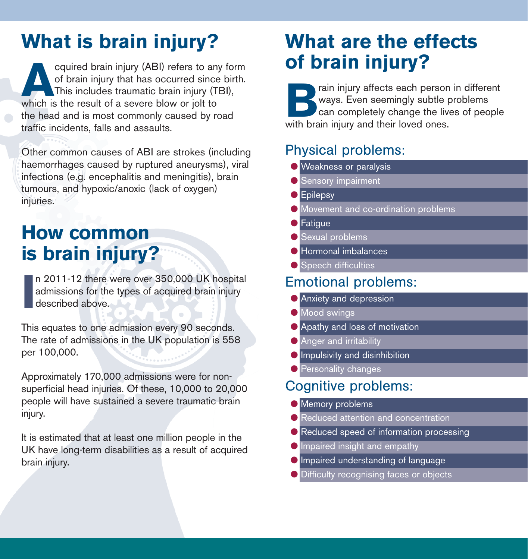## **What is brain injury? What are the effects**

Equired brain injury (ABI) refers to any form<br>of brain injury that has occurred since birth.<br>This includes traumatic brain injury (TBI),<br>which is the result of a severe blow or jolt to of brain injury that has occurred since birth. This includes traumatic brain injury (TBI), which is the result of a severe blow or jolt to the head and is most commonly caused by road traffic incidents, falls and assaults.

Other common causes of ABI are strokes (including haemorrhages caused by ruptured aneurysms), viral infections (e.g. encephalitis and meningitis), brain tumours, and hypoxic/anoxic (lack of oxygen) injuries.

### **How common is brain injury?**

**I** n 2011-12 there were over 350,000 UK hospital admissions for the types of acquired brain injury described above.

This equates to one admission every 90 seconds. The rate of admissions in the UK population is 558 per 100,000.

Approximately 170,000 admissions were for nonsuperficial head injuries. Of these, 10,000 to 20,000 people will have sustained a severe traumatic brain injury.

It is estimated that at least one million people in the UK have long-term disabilities as a result of acquired brain injury.

# **of brain injury?**

rain injury affects each person in different ways. Even seemingly subtle problems can completely change the lives of people with brain injury and their loved ones.

#### Physical problems:

- Weakness or paralysis
- Sensory impairment
- Epilepsy
- Movement and co-ordination problems
- **O** Fatigue
- Sexual problems
- Hormonal imbalances
- Speech difficulties

#### Emotional problems:

- Anxiety and depression
- Mood swings
- Apathy and loss of motivation
- Anger and irritability
- **•** Impulsivity and disinhibition
- Personality changes

#### Cognitive problems:

- Memory problems
- Reduced attention and concentration
- Reduced speed of information processing
- **O** Impaired insight and empathy
- Impaired understanding of language
- Difficulty recognising faces or objects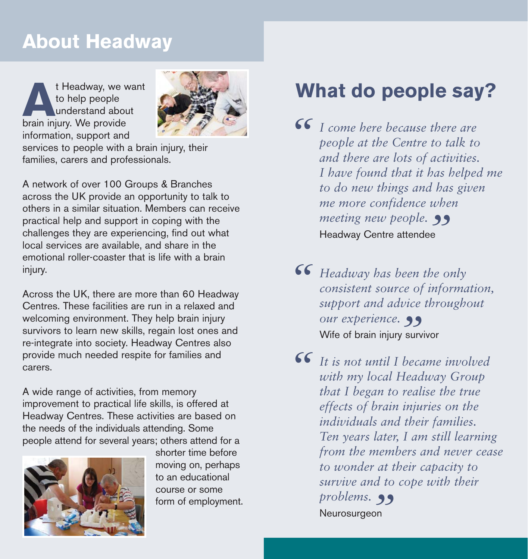## **About Headway**

**A**t Headway, we want<br>
to help people<br>
understand about<br>
brain injury. We provide to help people understand about information, support and



services to people with a brain injury, their families, carers and professionals.

A network of over 100 Groups & Branches across the UK provide an opportunity to talk to others in a similar situation. Members can receive practical help and support in coping with the challenges they are experiencing, find out what local services are available, and share in the emotional roller-coaster that is life with a brain injury.

Across the UK, there are more than 60 Headway Centres. These facilities are run in a relaxed and welcoming environment. They help brain injury survivors to learn new skills, regain lost ones and re-integrate into society. Headway Centres also provide much needed respite for families and carers.

A wide range of activities, from memory improvement to practical life skills, is offered at Headway Centres. These activities are based on the needs of the individuals attending. Some people attend for several years; others attend for a



shorter time before moving on, perhaps to an educational course or some form of employment.

## **What do people say?**

*I come here because there are people at the Centre to talk to and there are lots of activities people at the Centre to talk to and there are lots of activities. I have found that it has helped me to do new things and has given* me more confidence when<br>meeting new people. 99 *meeting new people.* Headway Centre attendee

**66** *Headway has been the only consistent source of informal support and advice through consistent source of information, support and advice throughout*<br> *" our experience*. *our experience.*  Wife of brain injury survivor

*It is not until I became involved* with my local Headway Group that I began to realise the true *with my local Headway Group that I began to realise the true effects of brain injuries on the individuals and their families. Ten years later, I am still learning from the members and never cease to wonder at their capacity to survive and to cope with their problems. "*Neurosurgeon